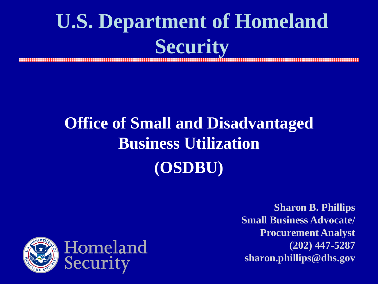#### **U.S. Department of Homeland Security**

#### **Office of Small and Disadvantaged Business Utilization (OSDBU)**

**Sharon B. Phillips Small Business Advocate/ Procurement Analyst (202) 447-5287 sharon.phillips@dhs.gov**

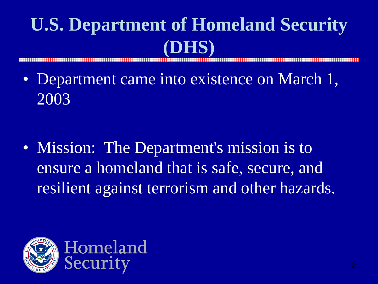## **U.S. Department of Homeland Security (DHS)**

• Department came into existence on March 1, 2003

• Mission: The Department's mission is to ensure a homeland that is safe, secure, and resilient against terrorism and other hazards.

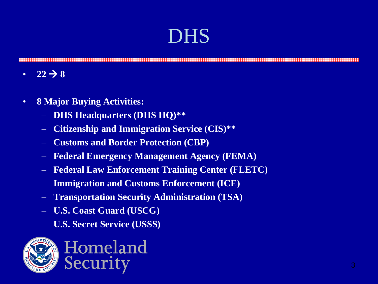#### DHS

- $22 \rightarrow 8$
- **8 Major Buying Activities:**
	- **DHS Headquarters (DHS HQ)\*\***
	- **Citizenship and Immigration Service (CIS)\*\***
	- **Customs and Border Protection (CBP)**
	- **Federal Emergency Management Agency (FEMA)**
	- **Federal Law Enforcement Training Center (FLETC)**
	- **Immigration and Customs Enforcement (ICE)**
	- **Transportation Security Administration (TSA)**
	- **U.S. Coast Guard (USCG)**
	- **U.S. Secret Service (USSS)**

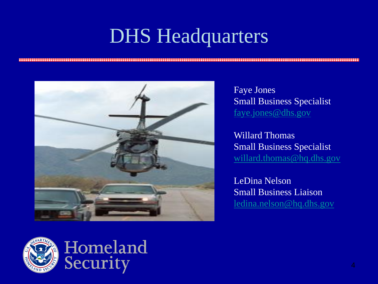### DHS Headquarters



Faye Jones Small Business Specialist [faye.jones@dhs.gov](mailto:Faye.Jones@dhs.gov)

Willard Thomas Small Business Specialist [willard.thomas@hq.dhs.gov](mailto:Faye.Jones@dhs.gov)

LeDina Nelson Small Business Liaison [ledina.nelson@hq.dhs.gov](mailto:ledina.nelson@hq.dhs.gov)



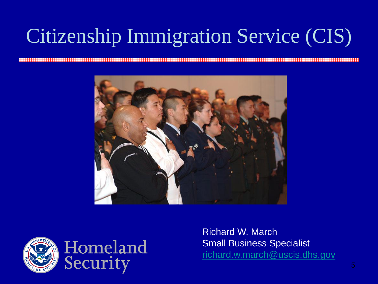## Citizenship Immigration Service (CIS)





Richard W. March Small Business Specialist [richard.w.march@uscis.dhs.gov](mailto:Faye.Jones@dhs.gov)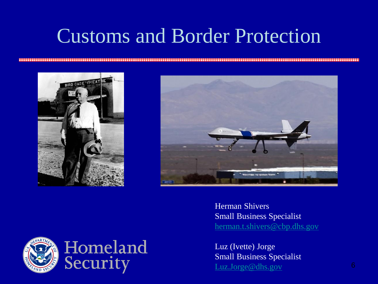### Customs and Border Protection





Herman Shivers Small Business Specialist [herman.t.shivers@cbp.dhs.gov](mailto:herman.t.shivers@cbp.dhs.gov)

Luz (Ivette) Jorge Small Business Specialist [Luz.Jorge@dhs.gov](mailto:Luz.Jorge@dhs.gov) 6

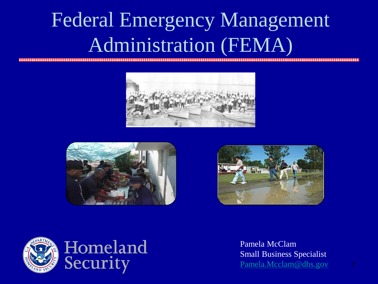## Federal Emergency Management Administration (FEMA)









Pamela McClam Small Business Specialist [Pamela.Mcclam@dhs.gov](mailto:Pamela.Mcclam@dhs.gov) 7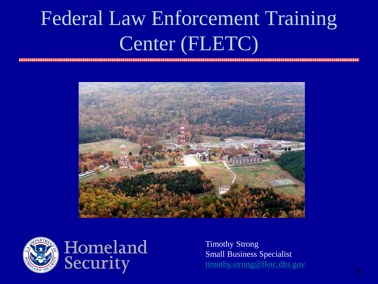## Federal Law Enforcement Training Center (FLETC)





Timothy Strong Small Business Specialist [timothy.strong@fletc.dhs.gov](mailto:timothy.strong@fletc.dhs.gov)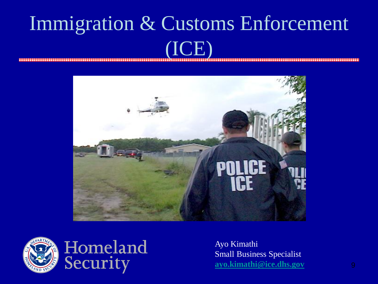#### Immigration & Customs Enforcement I**QE)**







Ayo Kimathi Small Business Specialist **[ayo.kimathi@ice.dhs.gov](mailto:Ayo.Kimathi@dhs.gov)** 9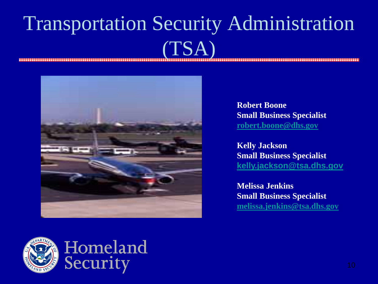## Transportation Security Administration  $(TSA)$



**Robert Boone Small Business Specialist [robert.boone@dhs.gov](mailto:Robert.Boone@dhs.gov)** 

**Kelly Jackson Small Business Specialist [kelly.jackson@tsa.dhs.gov](mailto:kelly.jackson@tsa.dhs.gov)**

**Melissa Jenkins Small Business Specialist [melissa.jenkins@tsa.dhs.gov](mailto:melissa.jenkins@tsa.dhs.gov)**

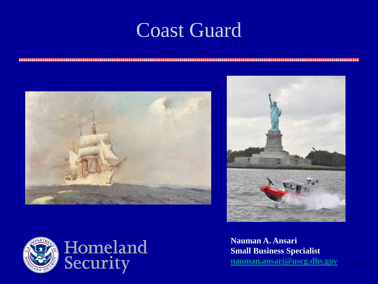#### Coast Guard







**Nauman A. Ansari Small Business Specialist [nauman.ansari@uscg.dhs.gov](mailto:nauman.ansari@uscg.dhs.gov)**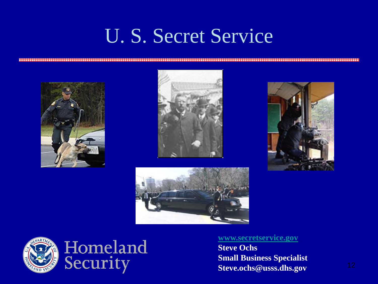### U. S. Secret Service













#### **[www.secretservice.gov](http://www.secretservice.gov/)**

**Steve Ochs Small Business Specialist Steve.ochs@usss.dhs.gov** <sup>12</sup>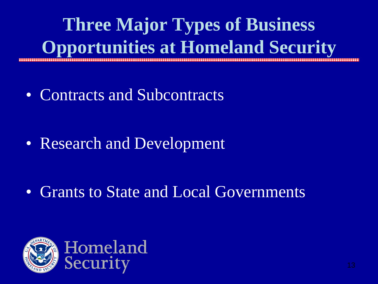**Three Major Types of Business Opportunities at Homeland Security**

• Contracts and Subcontracts

• Research and Development

• Grants to State and Local Governments

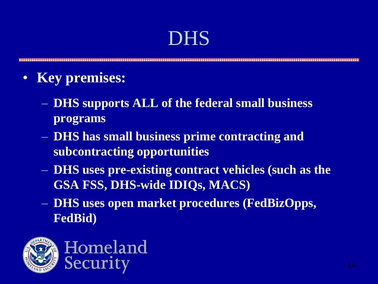#### DHS

- **Key premises:**
	- **DHS supports ALL of the federal small business programs**
	- **DHS has small business prime contracting and subcontracting opportunities**
	- **DHS uses pre-existing contract vehicles (such as the GSA FSS, DHS-wide IDIQs, MACS)**
	- **DHS uses open market procedures (FedBizOpps, FedBid)**

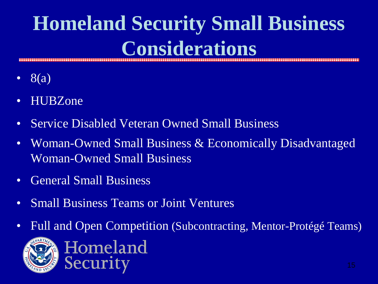## **Homeland Security Small Business Considerations**

- $8(a)$
- HUBZone
- Service Disabled Veteran Owned Small Business
- Woman-Owned Small Business & Economically Disadvantaged Woman-Owned Small Business
- General Small Business
- Small Business Teams or Joint Ventures
- Full and Open Competition (Subcontracting, Mentor-Protégé Teams)

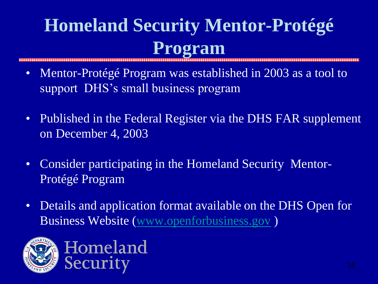## **Homeland Security Mentor-Protégé Program**

- Mentor-Protégé Program was established in 2003 as a tool to support DHS's small business program
- Published in the Federal Register via the DHS FAR supplement on December 4, 2003
- Consider participating in the Homeland Security Mentor-Protégé Program
- Details and application format available on the DHS Open for Business Website ([www.openforbusiness.gov](http://www.openforbusiness.gov/) )

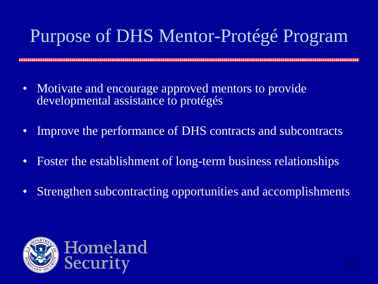## Purpose of DHS Mentor-Protégé Program

- Motivate and encourage approved mentors to provide developmental assistance to protégés
- Improve the performance of DHS contracts and subcontracts
- Foster the establishment of long-term business relationships
- Strengthen subcontracting opportunities and accomplishments

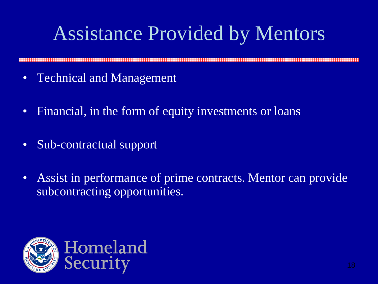## Assistance Provided by Mentors

- Technical and Management
- Financial, in the form of equity investments or loans
- Sub-contractual support
- Assist in performance of prime contracts. Mentor can provide subcontracting opportunities.

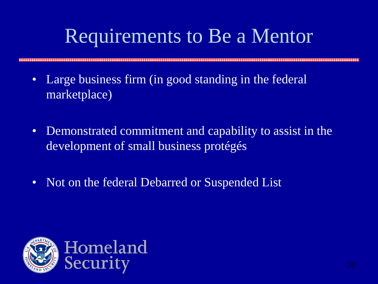## Requirements to Be a Mentor

- Large business firm (in good standing in the federal marketplace)
- Demonstrated commitment and capability to assist in the development of small business protégés
- Not on the federal Debarred or Suspended List

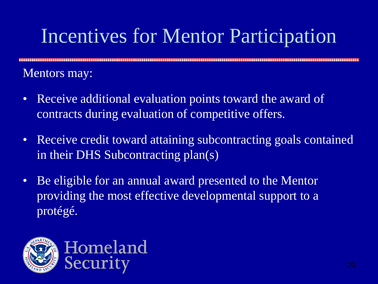## Incentives for Mentor Participation

Mentors may:

- Receive additional evaluation points toward the award of contracts during evaluation of competitive offers.
- Receive credit toward attaining subcontracting goals contained in their DHS Subcontracting plan(s)
- Be eligible for an annual award presented to the Mentor providing the most effective developmental support to a protégé.

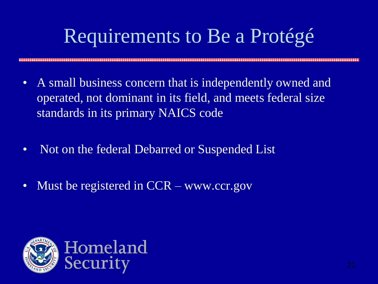## Requirements to Be a Protégé

- A small business concern that is independently owned and operated, not dominant in its field, and meets federal size standards in its primary NAICS code
- Not on the federal Debarred or Suspended List
- Must be registered in CCR www.ccr.gov

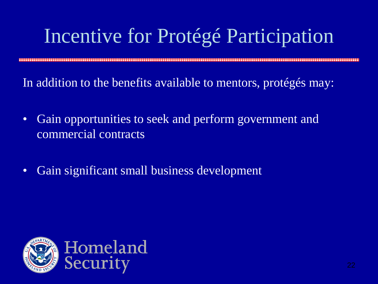## Incentive for Protégé Participation

In addition to the benefits available to mentors, protégés may:

- Gain opportunities to seek and perform government and commercial contracts
- Gain significant small business development

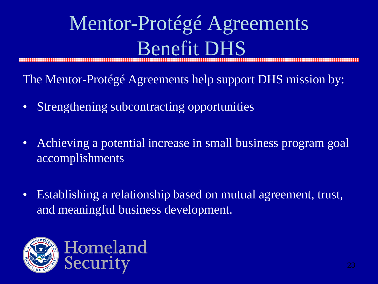## Mentor-Protégé Agreements Benefit DHS

The Mentor-Protégé Agreements help support DHS mission by:

- Strengthening subcontracting opportunities
- Achieving a potential increase in small business program goal accomplishments
- Establishing a relationship based on mutual agreement, trust, and meaningful business development.

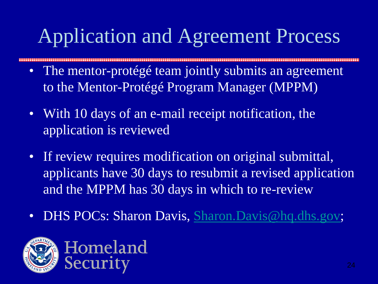## Application and Agreement Process

- The mentor-protégé team jointly submits an agreement to the Mentor-Protégé Program Manager (MPPM)
- With 10 days of an e-mail receipt notification, the application is reviewed
- If review requires modification on original submittal, applicants have 30 days to resubmit a revised application and the MPPM has 30 days in which to re-review
- DHS POCs: Sharon Davis, [Sharon.Davis@hq.dhs.gov](mailto:Sharon.Davis@hq.dhs.gov);

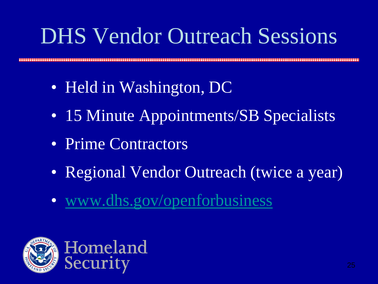## DHS Vendor Outreach Sessions

- Held in Washington, DC
- 15 Minute Appointments/SB Specialists
- Prime Contractors
- Regional Vendor Outreach (twice a year)
- [www.dhs.gov/openforbusiness](http://www.dhs.gov/openforbusiness)

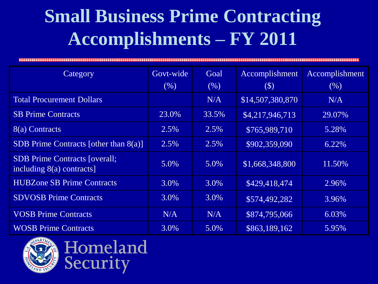## **Small Business Prime Contracting Accomplishments – FY 2011**

| Category                                                          | Govt-wide | Goal  | Accomplishment   | Accomplishment |  |  |
|-------------------------------------------------------------------|-----------|-------|------------------|----------------|--|--|
|                                                                   | (% )      | (% )  | $(\$\)$          | (% )           |  |  |
| <b>Total Procurement Dollars</b>                                  |           | N/A   | \$14,507,380,870 | N/A            |  |  |
| <b>SB Prime Contracts</b>                                         | 23.0%     | 33.5% | \$4,217,946,713  | 29.07%         |  |  |
| 8(a) Contracts                                                    | 2.5%      | 2.5%  | \$765,989,710    | 5.28%          |  |  |
| SDB Prime Contracts [other than $8(a)$ ]                          | 2.5%      | 2.5%  | \$902,359,090    | 6.22%          |  |  |
| <b>SDB</b> Prime Contracts [overall;<br>including 8(a) contracts] | 5.0%      | 5.0%  | \$1,668,348,800  | 11.50%         |  |  |
| <b>HUBZone SB Prime Contracts</b>                                 | 3.0%      | 3.0%  | \$429,418,474    | 2.96%          |  |  |
| <b>SDVOSB Prime Contracts</b>                                     | 3.0%      | 3.0%  | \$574,492,282    | 3.96%          |  |  |
| <b>VOSB Prime Contracts</b>                                       | N/A       | N/A   | \$874,795,066    | 6.03%          |  |  |
| <b>WOSB Prime Contracts</b>                                       | 3.0%      | 5.0%  | \$863,189,162    | 5.95%          |  |  |



Security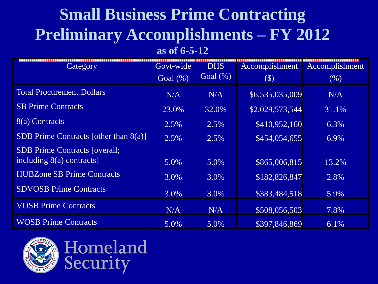### **Small Business Prime Contracting Preliminary Accomplishments – FY 2012**

**as of 6-5-12**

| Category                                                            | Govt-wide   | <b>DHS</b>  | Accomplishment  | Accomplishment |
|---------------------------------------------------------------------|-------------|-------------|-----------------|----------------|
|                                                                     | Goal $(\%)$ | Goal $(\%)$ | $(\$)$          | (% )           |
| <b>Total Procurement Dollars</b>                                    | N/A         | N/A         | \$6,535,035,009 | N/A            |
| <b>SB Prime Contracts</b>                                           | 23.0%       | 32.0%       | \$2,029,573,544 | 31.1%          |
| 8(a) Contracts                                                      | 2.5%        | 2.5%        | \$410,952,160   | 6.3%           |
| SDB Prime Contracts [other than $8(a)$ ]                            | 2.5%        | 2.5%        | \$454,054,655   | 6.9%           |
| <b>SDB</b> Prime Contracts [overall;<br>including $8(a)$ contracts] | 5.0%        | 5.0%        | \$865,006,815   | 13.2%          |
| <b>HUBZone SB Prime Contracts</b>                                   | 3.0%        | 3.0%        | \$182,826,847   | 2.8%           |
| <b>SDVOSB Prime Contracts</b>                                       | 3.0%        | 3.0%        | \$383,484,518   | 5.9%           |
| <b>VOSB Prime Contracts</b>                                         | N/A         | N/A         | \$508,056,503   | 7.8%           |
| <b>WOSB Prime Contracts</b>                                         | 5.0%        | 5.0%        | \$397,846,869   | 6.1%           |

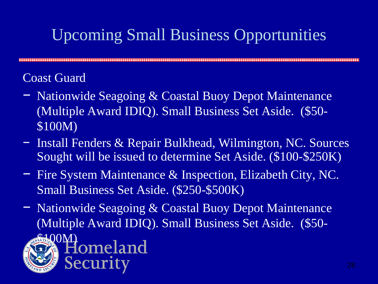#### Upcoming Small Business Opportunities

#### Coast Guard

- − Nationwide Seagoing & Coastal Buoy Depot Maintenance (Multiple Award IDIQ). Small Business Set Aside. (\$50- \$100M)
- − Install Fenders & Repair Bulkhead, Wilmington, NC. Sources Sought will be issued to determine Set Aside. (\$100-\$250K)
- − Fire System Maintenance & Inspection, Elizabeth City, NC. Small Business Set Aside. (\$250-\$500K)
- − Nationwide Seagoing & Coastal Buoy Depot Maintenance (Multiple Award IDIQ). Small Business Set Aside. (\$50-

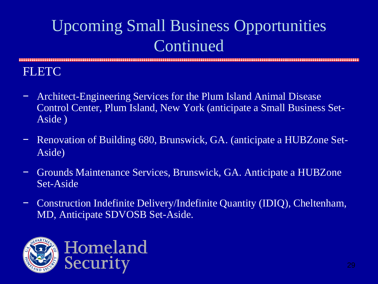**FLETC** 

- − Architect-Engineering Services for the Plum Island Animal Disease Control Center, Plum Island, New York (anticipate a Small Business Set-Aside )
- − Renovation of Building 680, Brunswick, GA. (anticipate a HUBZone Set-Aside)
- − Grounds Maintenance Services, Brunswick, GA. Anticipate a HUBZone Set-Aside
- − Construction Indefinite Delivery/Indefinite Quantity (IDIQ), Cheltenham, MD, Anticipate SDVOSB Set-Aside.

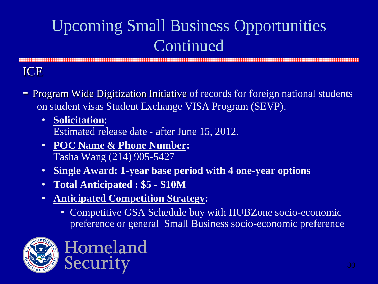ICE

- Program Wide Digitization Initiative of records for foreign national students on student visas Student Exchange VISA Program (SEVP).
	- **Solicitation**: Estimated release date - after June 15, 2012.
	- **POC Name & Phone Number:**  Tasha Wang (214) 905-5427

- **Single Award: 1-year base period with 4 one-year options**
- **Total Anticipated : \$5 - \$10M**
- **Anticipated Competition Strategy:** 
	- Competitive GSA Schedule buy with HUBZone socio-economic preference or general Small Business socio-economic preference



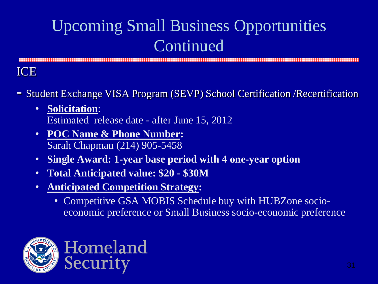**ICE** 

- Student Exchange VISA Program (SEVP) School Certification /Recertification
	- **Solicitation**: Estimated release date - after June 15, 2012
	- **POC Name & Phone Number:**  Sarah Chapman (214) 905-5458

- **Single Award: 1-year base period with 4 one-year option**
- **Total Anticipated value: \$20 - \$30M**
- **Anticipated Competition Strategy:** 
	- Competitive GSA MOBIS Schedule buy with HUBZone socioeconomic preference or Small Business socio-economic preference

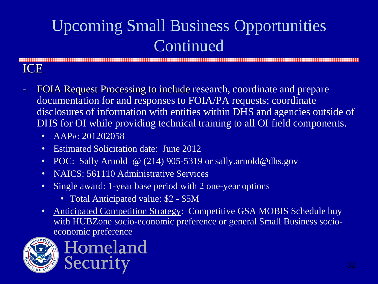ICE

- FOIA Request Processing to include research, coordinate and prepare documentation for and responses to FOIA/PA requests; coordinate disclosures of information with entities within DHS and agencies outside of DHS for OI while providing technical training to all OI field components.
	- AAP#: 201202058
	- Estimated Solicitation date: June 2012

- POC: Sally Arnold @ (214) 905-5319 or sally.arnold@dhs.gov
- NAICS: 561110 Administrative Services
- Single award: 1-year base period with 2 one-year options
	- Total Anticipated value: \$2 \$5M
- Anticipated Competition Strategy: Competitive GSA MOBIS Schedule buy with HUBZone socio-economic preference or general Small Business socioeconomic preference



Homeland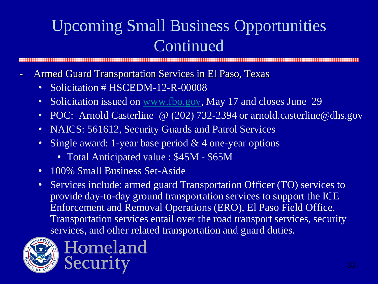- Armed Guard Transportation Services in El Paso, Texas
	- Solicitation # HSCEDM-12-R-00008
	- Solicitation issued on [www.fbo.gov](http://www.fbo.gov/), May 17 and closes June 29
	- POC: Arnold Casterline @ (202) 732-2394 or arnold.casterline@dhs.gov
	- NAICS: 561612, Security Guards and Patrol Services
	- Single award: 1-year base period & 4 one-year options
		- Total Anticipated value : \$45M \$65M
	- 100% Small Business Set-Aside
	- Services include: armed guard Transportation Officer (TO) services to provide day-to-day ground transportation services to support the ICE Enforcement and Removal Operations (ERO), El Paso Field Office. Transportation services entail over the road transport services, security services, and other related transportation and guard duties.



Homeland Security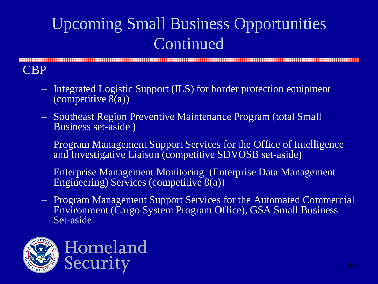#### CBP

- Integrated Logistic Support (ILS) for border protection equipment (competitive 8(a))
- Southeast Region Preventive Maintenance Program (total Small Business set-aside )
- Program Management Support Services for the Office of Intelligence and Investigative Liaison (competitive SDVOSB set-aside)
- Enterprise Management Monitoring (Enterprise Data Management Engineering) Services (competitive 8(a))
- Program Management Support Services for the Automated Commercial Environment (Cargo System Program Office), GSA Small Business Set-aside

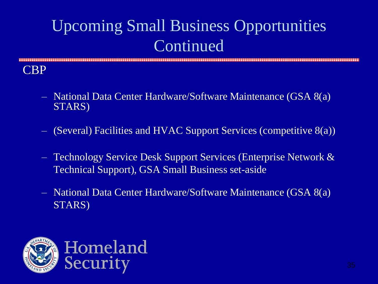CBP

- National Data Center Hardware/Software Maintenance (GSA 8(a) STARS)
- (Several) Facilities and HVAC Support Services (competitive 8(a))
- Technology Service Desk Support Services (Enterprise Network & Technical Support), GSA Small Business set-aside
- National Data Center Hardware/Software Maintenance (GSA 8(a) STARS)

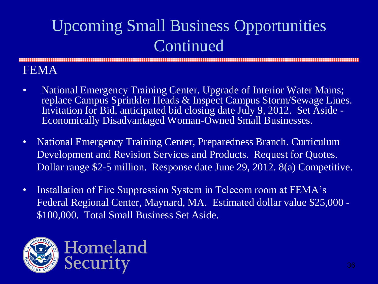#### FEMA

- National Emergency Training Center. Upgrade of Interior Water Mains; replace Campus Sprinkler Heads & Inspect Campus Storm/Sewage Lines. Invitation for Bid, anticipated bid closing date July 9, 2012. Set Aside - Economically Disadvantaged Woman-Owned Small Businesses.
- National Emergency Training Center, Preparedness Branch. Curriculum Development and Revision Services and Products. Request for Quotes. Dollar range \$2-5 million. Response date June 29, 2012. 8(a) Competitive.
- Installation of Fire Suppression System in Telecom room at FEMA's Federal Regional Center, Maynard, MA. Estimated dollar value \$25,000 - \$100,000. Total Small Business Set Aside.

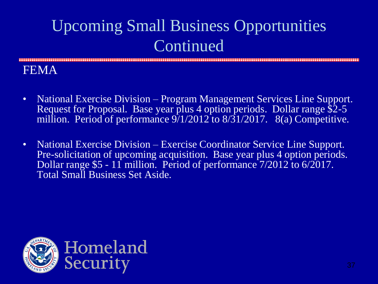FEMA

- National Exercise Division Program Management Services Line Support. Request for Proposal. Base year plus 4 option periods. Dollar range \$2-5 million. Period of performance  $9/1/2012$  to  $8/31/2017$ .  $8(a)$  Competitive.
- National Exercise Division Exercise Coordinator Service Line Support. Pre-solicitation of upcoming acquisition. Base year plus 4 option periods. Dollar range \$5 - 11 million. Period of performance 7/2012 to 6/2017. Total Small Business Set Aside.

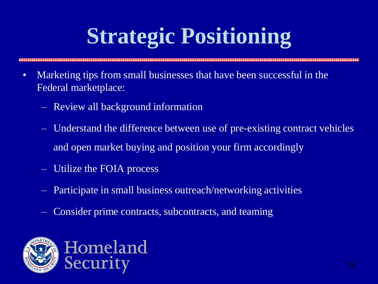# **Strategic Positioning**

- Marketing tips from small businesses that have been successful in the Federal marketplace:
	- Review all background information
	- Understand the difference between use of pre-existing contract vehicles and open market buying and position your firm accordingly
	- Utilize the FOIA process
	- Participate in small business outreach/networking activities
	- Consider prime contracts, subcontracts, and teaming

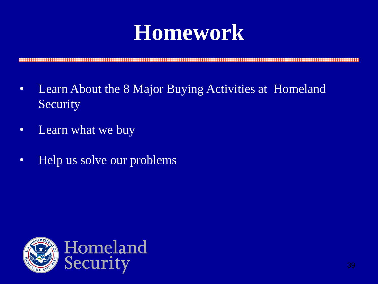## **Homework**

- Learn About the 8 Major Buying Activities at Homeland Security
- Learn what we buy
- Help us solve our problems